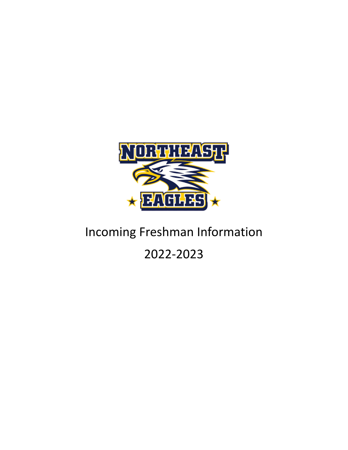

## Incoming Freshman Information

## 2022-2023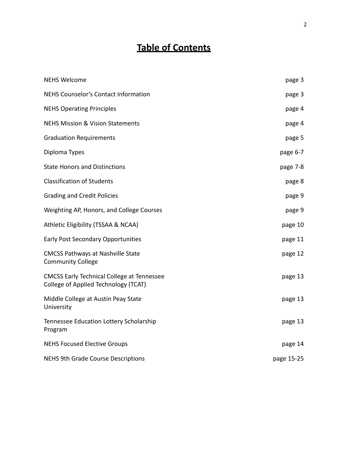### **Table of Contents**

| <b>NEHS Welcome</b>                                                                       | page 3     |
|-------------------------------------------------------------------------------------------|------------|
| <b>NEHS Counselor's Contact Information</b>                                               | page 3     |
| <b>NEHS Operating Principles</b>                                                          | page 4     |
| <b>NEHS Mission &amp; Vision Statements</b>                                               | page 4     |
| <b>Graduation Requirements</b>                                                            | page 5     |
| Diploma Types                                                                             | page 6-7   |
| <b>State Honors and Distinctions</b>                                                      | page 7-8   |
| <b>Classification of Students</b>                                                         | page 8     |
| <b>Grading and Credit Policies</b>                                                        | page 9     |
| Weighting AP, Honors, and College Courses                                                 | page 9     |
| Athletic Eligibility (TSSAA & NCAA)                                                       | page 10    |
| <b>Early Post Secondary Opportunities</b>                                                 | page 11    |
| <b>CMCSS Pathways at Nashville State</b><br><b>Community College</b>                      | page 12    |
| <b>CMCSS Early Technical College at Tennessee</b><br>College of Applied Technology (TCAT) | page 13    |
| Middle College at Austin Peay State<br>University                                         | page 13    |
| Tennessee Education Lottery Scholarship<br>Program                                        | page 13    |
| <b>NEHS Focused Elective Groups</b>                                                       | page 14    |
| <b>NEHS 9th Grade Course Descriptions</b>                                                 | page 15-25 |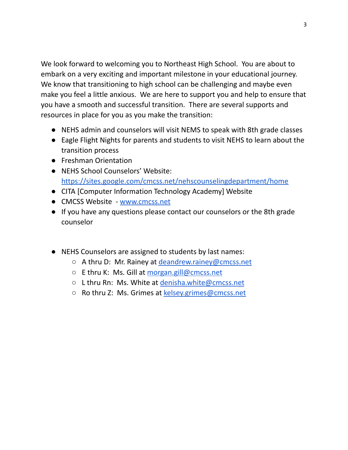We look forward to welcoming you to Northeast High School. You are about to embark on a very exciting and important milestone in your educational journey. We know that transitioning to high school can be challenging and maybe even make you feel a little anxious. We are here to support you and help to ensure that you have a smooth and successful transition. There are several supports and resources in place for you as you make the transition:

- NEHS admin and counselors will visit NEMS to speak with 8th grade classes
- Eagle Flight Nights for parents and students to visit NEHS to learn about the transition process
- Freshman Orientation
- NEHS School Counselors' Website: <https://sites.google.com/cmcss.net/nehscounselingdepartment/home>
- CITA [Computer Information Technology Academy] Website
- CMCSS Website [www.cmcss.net](http://www.cmcss.net)
- If you have any questions please contact our counselors or the 8th grade counselor
- NEHS Counselors are assigned to students by last names:
	- A thru D: Mr. Rainey at [deandrew.rainey@cmcss.net](mailto:deandrew.rainey@cmcss.net)
	- E thru K: Ms. Gill at [morgan.gill@cmcss.net](mailto:morgan.gill@cmcss.net)
	- L thru Rn: Ms. White at [denisha.white@cmcss.net](mailto:denisha.white@cmcss.net)
	- Ro thru Z: Ms. Grimes at [kelsey.grimes@cmcss.net](mailto:kelsey.grimes@cmcss.net)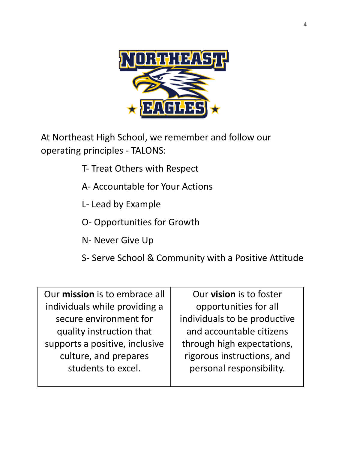

At Northeast High School, we remember and follow our operating principles - TALONS:

- T- Treat Others with Respect
- A- Accountable for Your Actions
- L- Lead by Example
- O- Opportunities for Growth
- N- Never Give Up
- S- Serve School & Community with a Positive Attitude

Our **mission** is to embrace all individuals while providing a secure environment for quality instruction that supports a positive, inclusive culture, and prepares students to excel.

Our **vision** is to foster opportunities for all individuals to be productive and accountable citizens through high expectations, rigorous instructions, and personal responsibility.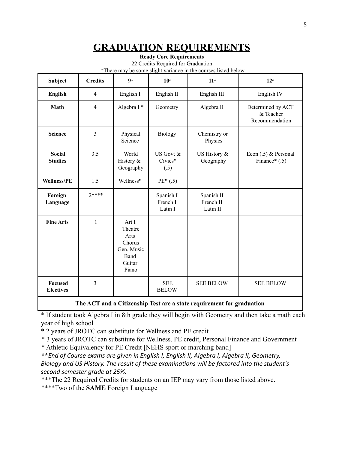### **GRADUATION REQUIREMENTS**

**Ready Core Requirements**

22 Credits Required for Graduation \*There may be some slight variance in the courses listed below

| Subject                            | <b>Credits</b> | Q <sub>th</sub>                                                             | 10 <sup>th</sup>                 | 11 <sup>th</sup>                    | 12 <sup>th</sup>                                 |
|------------------------------------|----------------|-----------------------------------------------------------------------------|----------------------------------|-------------------------------------|--------------------------------------------------|
| <b>English</b>                     | $\overline{4}$ | English I                                                                   | English II                       | English III                         | English IV                                       |
| Math                               | $\overline{4}$ | Algebra I*                                                                  | Geometry                         | Algebra II                          | Determined by ACT<br>& Teacher<br>Recommendation |
| <b>Science</b>                     | $\overline{3}$ | Physical<br>Science                                                         | <b>Biology</b>                   | Chemistry or<br>Physics             |                                                  |
| <b>Social</b><br><b>Studies</b>    | 3.5            | World<br>History &<br>Geography                                             | US Govt &<br>Civics*<br>(.5)     | US History &<br>Geography           | Econ $(.5)$ & Personal<br>Finance* $(.5)$        |
| <b>Wellness/PE</b>                 | 1.5            | Wellness*                                                                   | $PE*(.5)$                        |                                     |                                                  |
| Foreign<br>Language                | $2****$        |                                                                             | Spanish I<br>French I<br>Latin I | Spanish II<br>French II<br>Latin II |                                                  |
| <b>Fine Arts</b>                   | $\mathbf{1}$   | Art I<br>Theatre<br>Arts<br>Chorus<br>Gen. Music<br>Band<br>Guitar<br>Piano |                                  |                                     |                                                  |
| <b>Focused</b><br><b>Electives</b> | $\overline{3}$ |                                                                             | <b>SEE</b><br><b>BELOW</b>       | <b>SEE BELOW</b>                    | <b>SEE BELOW</b>                                 |

**The ACT and a Citizenship Test are a state requirement for graduation**

\* If student took Algebra I in 8th grade they will begin with Geometry and then take a math each year of high school

\* 2 years of JROTC can substitute for Wellness and PE credit

\* 3 years of JROTC can substitute for Wellness, PE credit, Personal Finance and Government \* Athletic Equivalency for PE Credit [NEHS sport or marching band]

**\*\****End of Course exams are given in English I, English II, Algebra I, Algebra II, Geometry, Biology and US History. The result of these examinations will be factored into the student's second semester grade at 25%.*

\*\*\*The 22 Required Credits for students on an IEP may vary from those listed above. \*\*\*\*Two of the **SAME** Foreign Language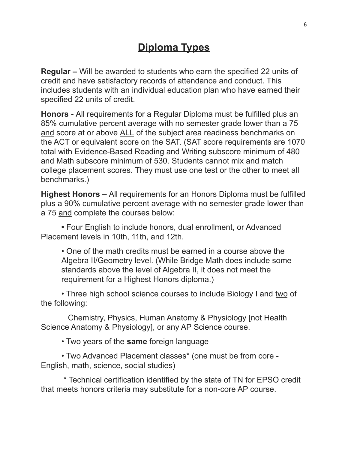### **Diploma Types**

**Regular –** Will be awarded to students who earn the specified 22 units of credit and have satisfactory records of attendance and conduct. This includes students with an individual education plan who have earned their specified 22 units of credit.

**Honors -** All requirements for a Regular Diploma must be fulfilled plus an 85% cumulative percent average with no semester grade lower than a 75 and score at or above ALL of the subject area readiness benchmarks on the ACT or equivalent score on the SAT. (SAT score requirements are 1070 total with Evidence-Based Reading and Writing subscore minimum of 480 and Math subscore minimum of 530. Students cannot mix and match college placement scores. They must use one test or the other to meet all benchmarks.)

**Highest Honors –** All requirements for an Honors Diploma must be fulfilled plus a 90% cumulative percent average with no semester grade lower than a 75 and complete the courses below:

**•** Four English to include honors, dual enrollment, or Advanced Placement levels in 10th, 11th, and 12th.

• One of the math credits must be earned in a course above the Algebra II/Geometry level. (While Bridge Math does include some standards above the level of Algebra II, it does not meet the requirement for a Highest Honors diploma.)

• Three high school science courses to include Biology I and two of the following:

Chemistry, Physics, Human Anatomy & Physiology [not Health Science Anatomy & Physiology], or any AP Science course.

• Two years of the **same** foreign language

• Two Advanced Placement classes\* (one must be from core - English, math, science, social studies)

\* Technical certification identified by the state of TN for EPSO credit that meets honors criteria may substitute for a non-core AP course.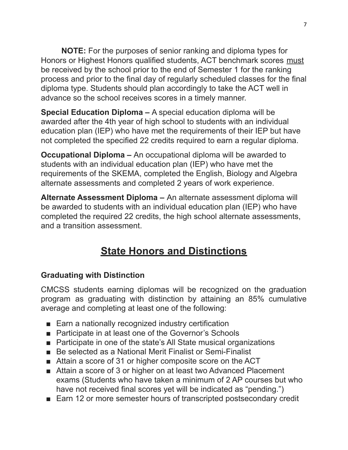**NOTE:** For the purposes of senior ranking and diploma types for Honors or Highest Honors qualified students, ACT benchmark scores must be received by the school prior to the end of Semester 1 for the ranking process and prior to the final day of regularly scheduled classes for the final diploma type. Students should plan accordingly to take the ACT well in advance so the school receives scores in a timely manner.

**Special Education Diploma –** A special education diploma will be awarded after the 4th year of high school to students with an individual education plan (IEP) who have met the requirements of their IEP but have not completed the specified 22 credits required to earn a regular diploma.

**Occupational Diploma –** An occupational diploma will be awarded to students with an individual education plan (IEP) who have met the requirements of the SKEMA, completed the English, Biology and Algebra alternate assessments and completed 2 years of work experience.

**Alternate Assessment Diploma –** An alternate assessment diploma will be awarded to students with an individual education plan (IEP) who have completed the required 22 credits, the high school alternate assessments, and a transition assessment.

## **State Honors and Distinctions**

### **Graduating with Distinction**

CMCSS students earning diplomas will be recognized on the graduation program as graduating with distinction by attaining an 85% cumulative average and completing at least one of the following:

- Earn a nationally recognized industry certification
- Participate in at least one of the Governor's Schools
- Participate in one of the state's All State musical organizations
- Be selected as a National Merit Finalist or Semi-Finalist
- Attain a score of 31 or higher composite score on the ACT
- Attain a score of 3 or higher on at least two Advanced Placement exams (Students who have taken a minimum of 2 AP courses but who have not received final scores yet will be indicated as "pending.")
- Earn 12 or more semester hours of transcripted postsecondary credit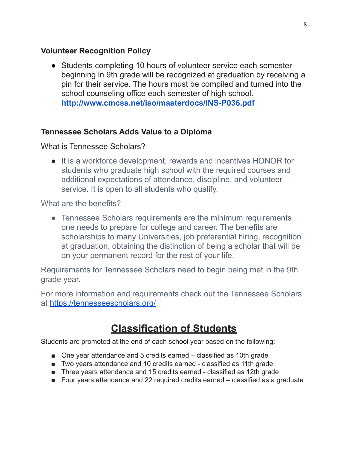### **Volunteer Recognition Policy**

● Students completing 10 hours of volunteer service each semester beginning in 9th grade will be recognized at graduation by receiving a pin for their service. The hours must be compiled and turned into the school counseling office each semester of high school[.](http://www.cmcss.net/iso/masterdocs/INS-P036.pdf) **<http://www.cmcss.net/iso/masterdocs/INS-P036.pdf>**

### **Tennessee Scholars Adds Value to a Diploma**

What is Tennessee Scholars?

● It is a workforce development, rewards and incentives HONOR for students who graduate high school with the required courses and additional expectations of attendance, discipline, and volunteer service. It is open to all students who qualify.

What are the benefits?

• Tennessee Scholars requirements are the minimum requirements one needs to prepare for college and career. The benefits are scholarships to many Universities, job preferential hiring, recognition at graduation, obtaining the distinction of being a scholar that will be on your permanent record for the rest of your life.

Requirements for Tennessee Scholars need to begin being met in the 9th grade year.

For more information and requirements check out the Tennessee Scholars at <https://tennesseescholars.org/>

### **Classification of Students**

Students are promoted at the end of each school year based on the following:

- One year attendance and 5 credits earned classified as 10th grade
- Two years attendance and 10 credits earned classified as 11th grade
- Three years attendance and 15 credits earned classified as 12th grade
- Four years attendance and 22 required credits earned classified as a graduate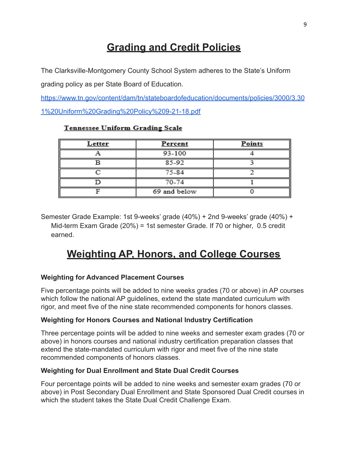### **Grading and Credit Policies**

The Clarksville-Montgomery County School System adheres to the State's Uniform grading policy as per State Board of Education.

[https://www.tn.gov/content/dam/tn/stateboardofeducation/documents/policies/3000/3.30](https://www.tn.gov/content/dam/tn/stateboardofeducation/documents/policies/3000/3.301%20Uniform%20Grading%20Policy%209-21-18.pdf) [1%20Uniform%20Grading%20Policy%209-21-18.pdf](https://www.tn.gov/content/dam/tn/stateboardofeducation/documents/policies/3000/3.301%20Uniform%20Grading%20Policy%209-21-18.pdf)

| <u>Letter</u> | <b>Percent</b> | <b>Points</b> |
|---------------|----------------|---------------|
|               | 93-100         |               |
|               | 85-92          |               |
|               | 75-84          |               |
|               | 70-74          |               |
|               | 69 and below   |               |

#### Tennessee Uniform Grading Scale

Semester Grade Example: 1st 9-weeks' grade (40%) + 2nd 9-weeks' grade (40%) + Mid-term Exam Grade (20%) = 1st semester Grade. If 70 or higher, 0.5 credit earned.

### **Weighting AP, Honors, and College Courses**

### **Weighting for Advanced Placement Courses**

Five percentage points will be added to nine weeks grades (70 or above) in AP courses which follow the national AP guidelines, extend the state mandated curriculum with rigor, and meet five of the nine state recommended components for honors classes.

#### **Weighting for Honors Courses and National Industry Certification**

Three percentage points will be added to nine weeks and semester exam grades (70 or above) in honors courses and national industry certification preparation classes that extend the state-mandated curriculum with rigor and meet five of the nine state recommended components of honors classes.

#### **Weighting for Dual Enrollment and State Dual Credit Courses**

Four percentage points will be added to nine weeks and semester exam grades (70 or above) in Post Secondary Dual Enrollment and State Sponsored Dual Credit courses in which the student takes the State Dual Credit Challenge Exam.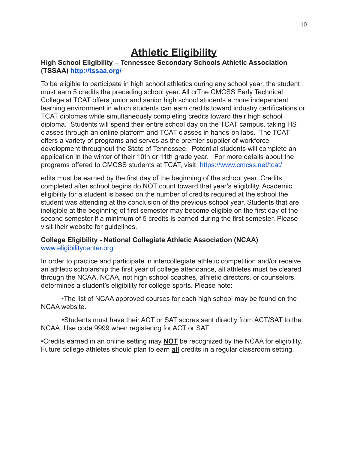### **Athletic Eligibility**

#### **High School Eligibility – Tennessee Secondary Schools Athletic Association (TSSAA) <http://tssaa.org/>**

To be eligible to participate in high school athletics during any school year, the student must earn 5 credits the preceding school year. All crThe CMCSS Early Technical College at TCAT offers junior and senior high school students a more independent learning environment in which students can earn credits toward industry certifications or TCAT diplomas while simultaneously completing credits toward their high school diploma. Students will spend their entire school day on the TCAT campus, taking HS classes through an online platform and TCAT classes in hands-on labs. The TCAT offers a variety of programs and serves as the premier supplier of workforce development throughout the State of Tennessee. Potential students will complete an application in the winter of their 10th or 11th grade year. For more details about the programs offered to CMCSS students at TCAT, visit <https://www.cmcss.net/tcat/>

edits must be earned by the first day of the beginning of the school year. Credits completed after school begins do NOT count toward that year's eligibility. Academic eligibility for a student is based on the number of credits required at the school the student was attending at the conclusion of the previous school year. Students that are ineligible at the beginning of first semester may become eligible on the first day of the second semester if a minimum of 5 credits is earned during the first semester. Please visit their website for guidelines.

#### **College Eligibility - National Collegiate Athletic Association (NCAA)** [www.eligibilitycenter.org](http://www.eligibilitycenter.org)

In order to practice and participate in intercollegiate athletic competition and/or receive an athletic scholarship the first year of college attendance, all athletes must be cleared through the NCAA. NCAA, not high school coaches, athletic directors, or counselors, determines a student's eligibility for college sports. Please note:

•The list of NCAA approved courses for each high school may be found on the NCAA website.

•Students must have their ACT or SAT scores sent directly from ACT/SAT to the NCAA. Use code 9999 when registering for ACT or SAT.

•Credits earned in an online setting may **NOT** be recognized by the NCAA for eligibility. Future college athletes should plan to earn **all** credits in a regular classroom setting.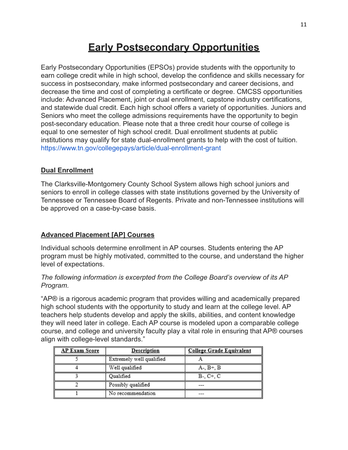### **Early Postsecondary Opportunities**

Early Postsecondary Opportunities (EPSOs) provide students with the opportunity to earn college credit while in high school, develop the confidence and skills necessary for success in postsecondary, make informed postsecondary and career decisions, and decrease the time and cost of completing a certificate or degree. CMCSS opportunities include: Advanced Placement, joint or dual enrollment, capstone industry certifications, and statewide dual credit. Each high school offers a variety of opportunities. Juniors and Seniors who meet the college admissions requirements have the opportunity to begin post-secondary education. Please note that a three credit hour course of college is equal to one semester of high school credit. Dual enrollment students at public institutions may qualify for state dual-enrollment grants to help with the cost of tuition. <https://www.tn.gov/collegepays/article/dual-enrollment-grant>

### **Dual Enrollment**

The Clarksville-Montgomery County School System allows high school juniors and seniors to enroll in college classes with state institutions governed by the University of Tennessee or Tennessee Board of Regents. Private and non-Tennessee institutions will be approved on a case-by-case basis.

### **Advanced Placement [AP] Courses**

Individual schools determine enrollment in AP courses. Students entering the AP program must be highly motivated, committed to the course, and understand the higher level of expectations.

#### *The following information is excerpted from the College Board's overview of its AP Program.*

"AP® is a rigorous academic program that provides willing and academically prepared high school students with the opportunity to study and learn at the college level. AP teachers help students develop and apply the skills, abilities, and content knowledge they will need later in college. Each AP course is modeled upon a comparable college course, and college and university faculty play a vital role in ensuring that AP® courses align with college-level standards."

| AP Exam Score | <b>Description</b>       | <b>College Grade Equivalent</b> |
|---------------|--------------------------|---------------------------------|
|               | Extremely well qualified |                                 |
|               | Well qualified           | $A-, B+, B$                     |
|               | Qualified                | $B-, C+, C$                     |
|               | Possibly qualified       |                                 |
|               | No recommendation        |                                 |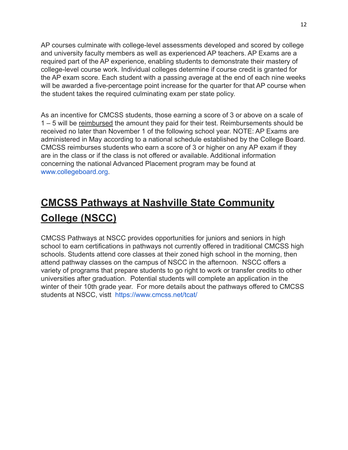AP courses culminate with college-level assessments developed and scored by college and university faculty members as well as experienced AP teachers. AP Exams are a required part of the AP experience, enabling students to demonstrate their mastery of college-level course work. Individual colleges determine if course credit is granted for the AP exam score. Each student with a passing average at the end of each nine weeks will be awarded a five-percentage point increase for the quarter for that AP course when the student takes the required culminating exam per state policy.

As an incentive for CMCSS students, those earning a score of 3 or above on a scale of 1 – 5 will be reimbursed the amount they paid for their test. Reimbursements should be received no later than November 1 of the following school year. NOTE: AP Exams are administered in May according to a national schedule established by the College Board. CMCSS reimburses students who earn a score of 3 or higher on any AP exam if they are in the class or if the class is not offered or available. Additional infor[m](http://www.collegeboard.org/)ation concerning the national Advanced Placement program may be found at [www.collegeboard.org](http://www.collegeboard.org/).

## **CMCSS Pathways at Nashville State Community College (NSCC)**

CMCSS Pathways at NSCC provides opportunities for juniors and seniors in high school to earn certifications in pathways not currently offered in traditional CMCSS high schools. Students attend core classes at their zoned high school in the morning, then attend pathway classes on the campus of NSCC in the afternoon. NSCC offers a variety of programs that prepare students to go right to work or transfer credits to other universities after graduation. Potential students will complete an application in the winter of their 10th grade year. For more details about the pathways offered to CMCSS students at NSCC, vistt <https://www.cmcss.net/tcat/>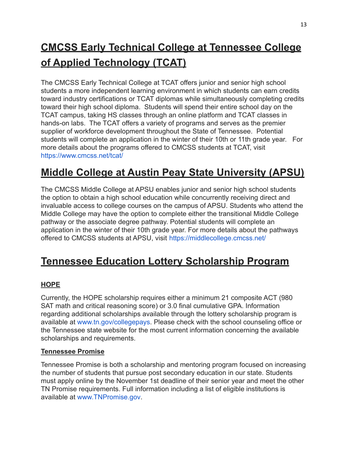## **CMCSS Early Technical College at Tennessee College of Applied Technology (TCAT)**

The CMCSS Early Technical College at TCAT offers junior and senior high school students a more independent learning environment in which students can earn credits toward industry certifications or TCAT diplomas while simultaneously completing credits toward their high school diploma. Students will spend their entire school day on the TCAT campus, taking HS classes through an online platform and TCAT classes in hands-on labs. The TCAT offers a variety of programs and serves as the premier supplier of workforce development throughout the State of Tennessee. Potential students will complete an application in the winter of their 10th or 11th grade year. For more details about the programs offered to CMCSS students at TCAT, visit <https://www.cmcss.net/tcat/>

## **Middle College at Austin Peay State University (APSU)**

The CMCSS Middle College at APSU enables junior and senior high school students the option to obtain a high school education while concurrently receiving direct and invaluable access to college courses on the campus of APSU. Students who attend the Middle College may have the option to complete either the transitional Middle College pathway or the associate degree pathway. Potential students will complete an application in the winter of their 10th grade year. For more details about the pathways offered to CMCSS students at APSU, visit <https://middlecollege.cmcss.net/>

### **Tennessee Education Lottery Scholarship Program**

### **HOPE**

Currently, the HOPE scholarship requires either a minimum 21 composite ACT (980 SAT math and critical reasoning score) or 3.0 final cumulative GPA. Information regarding additional scholarships available through the lottery scholarship program is available at [www.tn.gov/collegepays](http://www.tn.gov/collegepays). Please check with the school counseling office or the Tennessee state website for the most current information concerning the available scholarships and requirements.

### **Tennessee Promise**

Tennessee Promise is both a scholarship and mentoring program focused on increasing the number of students that pursue post secondary education in our state. Students must apply online by the November 1st deadline of their senior year and meet the other TN Promise requirements. Full information including a list of eligible institutions is available at [www.TNPromise.gov](http://www.tnpromise.gov/).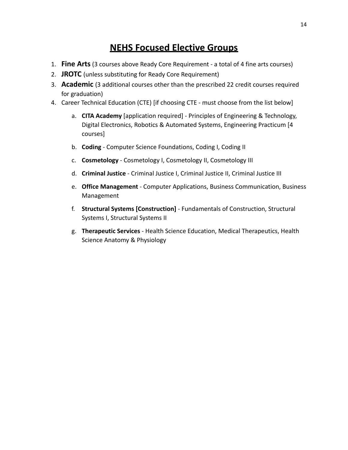### **NEHS Focused Elective Groups**

- 1. **Fine Arts**(3 courses above Ready Core Requirement a total of 4 fine arts courses)
- 2. **JROTC** (unless substituting for Ready Core Requirement)
- 3. **Academic** (3 additional courses other than the prescribed 22 credit courses required for graduation)
- 4. Career Technical Education (CTE) [if choosing CTE must choose from the list below]
	- a. **CITA Academy** [application required] Principles of Engineering & Technology, Digital Electronics, Robotics & Automated Systems, Engineering Practicum [4 courses]
	- b. **Coding** Computer Science Foundations, Coding I, Coding II
	- c. **Cosmetology** Cosmetology I, Cosmetology II, Cosmetology III
	- d. **Criminal Justice** Criminal Justice I, Criminal Justice II, Criminal Justice III
	- e. **Office Management** Computer Applications, Business Communication, Business Management
	- f. **Structural Systems [Construction]** Fundamentals of Construction, Structural Systems I, Structural Systems II
	- g. **Therapeutic Services** Health Science Education, Medical Therapeutics, Health Science Anatomy & Physiology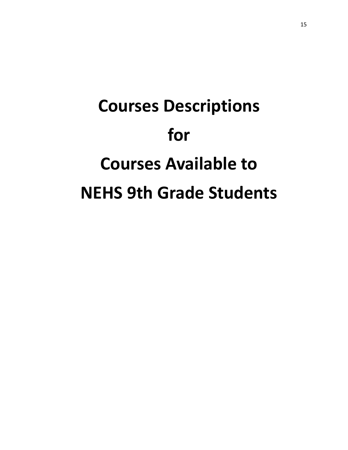# **Courses Descriptions for Courses Available to NEHS 9th Grade Students**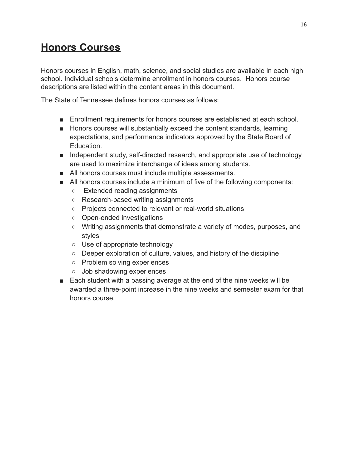### **Honors Courses**

Honors courses in English, math, science, and social studies are available in each high school. Individual schools determine enrollment in honors courses. Honors course descriptions are listed within the content areas in this document.

The State of Tennessee defines honors courses as follows:

- Enrollment requirements for honors courses are established at each school.
- Honors courses will substantially exceed the content standards, learning expectations, and performance indicators approved by the State Board of **Education**
- Independent study, self-directed research, and appropriate use of technology are used to maximize interchange of ideas among students.
- All honors courses must include multiple assessments.
- All honors courses include a minimum of five of the following components:
	- Extended reading assignments
	- Research-based writing assignments
	- Projects connected to relevant or real-world situations
	- Open-ended investigations
	- Writing assignments that demonstrate a variety of modes, purposes, and styles
	- Use of appropriate technology
	- Deeper exploration of culture, values, and history of the discipline
	- Problem solving experiences
	- Job shadowing experiences
- Each student with a passing average at the end of the nine weeks will be awarded a three-point increase in the nine weeks and semester exam for that honors course.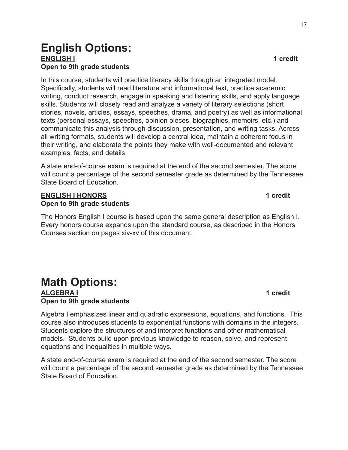### **English Options: ENGLISH I 1 credit Open to 9th grade students**

In this course, students will practice literacy skills through an integrated model. Specifically, students will read literature and informational text, practice academic writing, conduct research, engage in speaking and listening skills, and apply language skills. Students will closely read and analyze a variety of literary selections (short stories, novels, articles, essays, speeches, drama, and poetry) as well as informational texts (personal essays, speeches, opinion pieces, biographies, memoirs, etc.) and communicate this analysis through discussion, presentation, and writing tasks. Across all writing formats, students will develop a central idea, maintain a coherent focus in their writing, and elaborate the points they make with well-documented and relevant examples, facts, and details.

A state end-of-course exam is required at the end of the second semester. The score will count a percentage of the second semester grade as determined by the Tennessee State Board of Education.

#### **ENGLISH I HONORS 1 credit Open to 9th grade students**

The Honors English I course is based upon the same general description as English I. Every honors course expands upon the standard course, as described in the Honors Courses section on pages xiv-xv of this document.

### **Math Options: ALGEBRA I 1 credit Open to 9th grade students**

Algebra I emphasizes linear and quadratic expressions, equations, and functions. This course also introduces students to exponential functions with domains in the integers. Students explore the structures of and interpret functions and other mathematical models. Students build upon previous knowledge to reason, solve, and represent equations and inequalities in multiple ways.

A state end-of-course exam is required at the end of the second semester. The score will count a percentage of the second semester grade as determined by the Tennessee State Board of Education.

17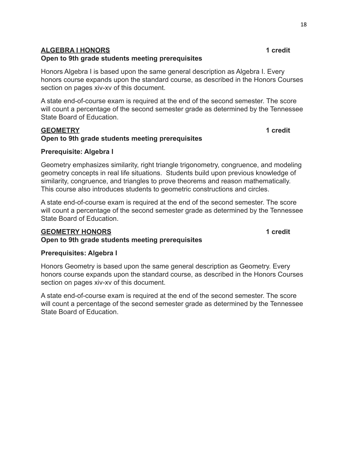#### **ALGEBRA I HONORS 1 credit**

#### **Open to 9th grade students meeting prerequisites**

Honors Algebra I is based upon the same general description as Algebra I. Every honors course expands upon the standard course, as described in the Honors Courses section on pages xiv-xv of this document.

A state end-of-course exam is required at the end of the second semester. The score will count a percentage of the second semester grade as determined by the Tennessee State Board of Education.

#### **GEOMETRY 1 credit Open to 9th grade students meeting prerequisites**

#### **Prerequisite: Algebra I**

Geometry emphasizes similarity, right triangle trigonometry, congruence, and modeling geometry concepts in real life situations. Students build upon previous knowledge of similarity, congruence, and triangles to prove theorems and reason mathematically. This course also introduces students to geometric constructions and circles.

A state end-of-course exam is required at the end of the second semester. The score will count a percentage of the second semester grade as determined by the Tennessee State Board of Education.

#### **GEOMETRY HONORS 1 credit**

### **Open to 9th grade students meeting prerequisites**

#### **Prerequisites: Algebra I**

Honors Geometry is based upon the same general description as Geometry. Every honors course expands upon the standard course, as described in the Honors Courses section on pages xiv-xv of this document.

A state end-of-course exam is required at the end of the second semester. The score will count a percentage of the second semester grade as determined by the Tennessee State Board of Education.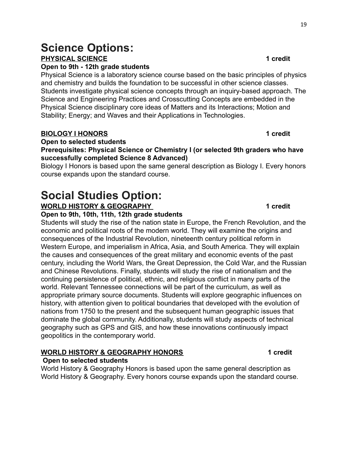### **Science Options: PHYSICAL SCIENCE 1 credit**

#### **Open to 9th - 12th grade students**

Physical Science is a laboratory science course based on the basic principles of physics and chemistry and builds the foundation to be successful in other science classes. Students investigate physical science concepts through an inquiry-based approach. The Science and Engineering Practices and Crosscutting Concepts are embedded in the Physical Science disciplinary core ideas of Matters and its Interactions; Motion and Stability; Energy; and Waves and their Applications in Technologies.

#### **BIOLOGY I HONORS 1 credit**

#### **Open to selected students**

#### **Prerequisites: Physical Science or Chemistry I (or selected 9th graders who have successfully completed Science 8 Advanced)**

Biology I Honors is based upon the same general description as Biology I. Every honors course expands upon the standard course.

## **Social Studies Option:**

#### **WORLD HISTORY & GEOGRAPHY 1** credit

#### **Open to 9th, 10th, 11th, 12th grade students**

Students will study the rise of the nation state in Europe, the French Revolution, and the economic and political roots of the modern world. They will examine the origins and consequences of the Industrial Revolution, nineteenth century political reform in Western Europe, and imperialism in Africa, Asia, and South America. They will explain the causes and consequences of the great military and economic events of the past century, including the World Wars, the Great Depression, the Cold War, and the Russian and Chinese Revolutions. Finally, students will study the rise of nationalism and the continuing persistence of political, ethnic, and religious conflict in many parts of the world. Relevant Tennessee connections will be part of the curriculum, as well as appropriate primary source documents. Students will explore geographic influences on history, with attention given to political boundaries that developed with the evolution of nations from 1750 to the present and the subsequent human geographic issues that dominate the global community. Additionally, students will study aspects of technical geography such as GPS and GIS, and how these innovations continuously impact geopolitics in the contemporary world.

### **WORLD HISTORY & GEOGRAPHY HONORS 4 Credit**

#### **Open to selected students**

World History & Geography Honors is based upon the same general description as World History & Geography. Every honors course expands upon the standard course.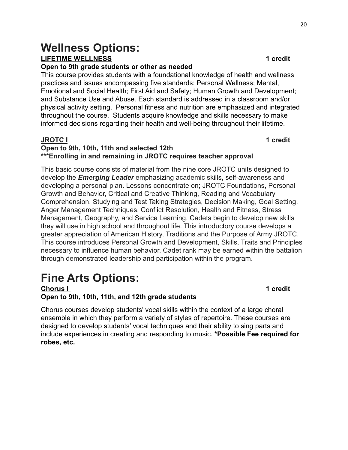### **Wellness Options: LIFETIME WELLNESS 1 credit**

#### **Open to 9th grade students or other as needed**

This course provides students with a foundational knowledge of health and wellness practices and issues encompassing five standards: Personal Wellness; Mental, Emotional and Social Health; First Aid and Safety; Human Growth and Development; and Substance Use and Abuse. Each standard is addressed in a classroom and/or physical activity setting. Personal fitness and nutrition are emphasized and integrated throughout the course. Students acquire knowledge and skills necessary to make informed decisions regarding their health and well-being throughout their lifetime.

#### **JROTC I 1 credit**

#### **Open to 9th, 10th, 11th and selected 12th \*\*\*Enrolling in and remaining in JROTC requires teacher approval**

This basic course consists of material from the nine core JROTC units designed to develop the *Emerging Leader* emphasizing academic skills, self-awareness and developing a personal plan. Lessons concentrate on; JROTC Foundations, Personal Growth and Behavior, Critical and Creative Thinking, Reading and Vocabulary Comprehension, Studying and Test Taking Strategies, Decision Making, Goal Setting, Anger Management Techniques, Conflict Resolution, Health and Fitness, Stress Management, Geography, and Service Learning. Cadets begin to develop new skills they will use in high school and throughout life. This introductory course develops a greater appreciation of American History, Traditions and the Purpose of Army JROTC. This course introduces Personal Growth and Development, Skills, Traits and Principles necessary to influence human behavior. Cadet rank may be earned within the battalion through demonstrated leadership and participation within the program.

## **Fine Arts Options:**

**Chorus I 1 credit Open to 9th, 10th, 11th, and 12th grade students**

Chorus courses develop students' vocal skills within the context of a large choral ensemble in which they perform a variety of styles of repertoire. These courses are designed to develop students' vocal techniques and their ability to sing parts and include experiences in creating and responding to music. **\*Possible Fee required for robes, etc.**

#### 20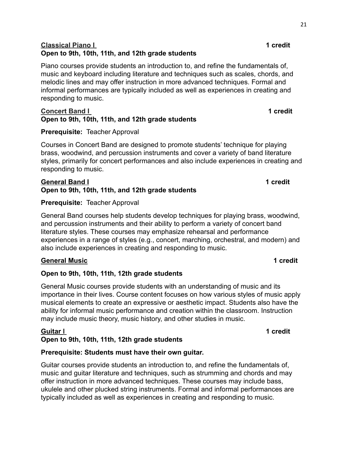### **Classical Piano I 1 credit Open to 9th, 10th, 11th, and 12th grade students**

Piano courses provide students an introduction to, and refine the fundamentals of, music and keyboard including literature and techniques such as scales, chords, and melodic lines and may offer instruction in more advanced techniques. Formal and informal performances are typically included as well as experiences in creating and responding to music.

#### **Concert Band I 1 1 1 1 1 1 1 Open to 9th, 10th, 11th, and 12th grade students**

### **Prerequisite:** Teacher Approval

Courses in Concert Band are designed to promote students' technique for playing brass, woodwind, and percussion instruments and cover a variety of band literature styles, primarily for concert performances and also include experiences in creating and responding to music.

#### **General Band I 1 credit Open to 9th, 10th, 11th, and 12th grade students**

#### **Prerequisite:** Teacher Approval

General Band courses help students develop techniques for playing brass, woodwind, and percussion instruments and their ability to perform a variety of concert band literature styles. These courses may emphasize rehearsal and performance experiences in a range of styles (e.g., concert, marching, orchestral, and modern) and also include experiences in creating and responding to music.

#### **General Music 1 credit**

### **Open to 9th, 10th, 11th, 12th grade students**

General Music courses provide students with an understanding of music and its importance in their lives. Course content focuses on how various styles of music apply musical elements to create an expressive or aesthetic impact. Students also have the ability for informal music performance and creation within the classroom. Instruction may include music theory, music history, and other studies in music.

### **Guitar [I](https://ccms-search.tneducation.net/Home/CourseInfo?courseCode=G05HA9) 1 credit**

### **Open to 9th, 10th, 11th, 12th grade students**

#### **Prerequisite: Students must have their own guitar.**

Guitar courses provide students an introduction to, and refine the fundamentals of, music and guitar literature and techniques, such as strumming and chords and may offer instruction in more advanced techniques. These courses may include bass, ukulele and other plucked string instruments. Formal and informal performances are typically included as well as experiences in creating and responding to music.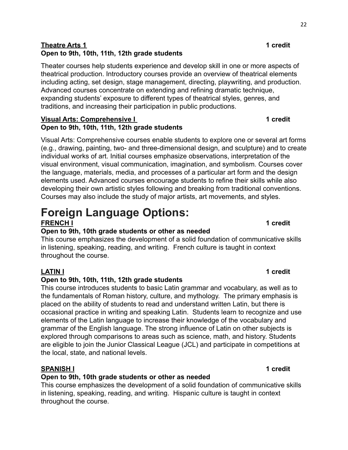### **Theatre Arts 1 1 credit Open to 9th, 10th, 11th, 12th grade students**

Theater courses help students experience and develop skill in one or more aspects of theatrical production. Introductory courses provide an overview of theatrical elements including acting, set design, stage management, directing, playwriting, and production. Advanced courses concentrate on extending and refining dramatic technique, expanding students' exposure to different types of theatrical styles, genres, and traditions, and increasing their participation in public productions.

#### **Visual Arts: Comprehensive I 1 1 1 1 1 1 1 Open to 9th, 10th, 11th, 12th grade students**

Visual Arts: Comprehensive courses enable students to explore one or several art forms (e.g., drawing, painting, two- and three-dimensional design, and sculpture) and to create individual works of art. Initial courses emphasize observations, interpretation of the visual environment, visual communication, imagination, and symbolism. Courses cover the language, materials, media, and processes of a particular art form and the design elements used. Advanced courses encourage students to refine their skills while also developing their own artistic styles following and breaking from traditional conventions. Courses may also include the study of major artists, art movements, and styles.

### **Foreign Language Options: FRENCH I 1 credit**

### **Open to 9th, 10th grade students or other as needed**

This course emphasizes the development of a solid foundation of communicative skills in listening, speaking, reading, and writing. French culture is taught in context throughout the course.

### **Open to 9th, 10th, 11th, 12th grade students**

This course introduces students to basic Latin grammar and vocabulary, as well as to the fundamentals of Roman history, culture, and mythology. The primary emphasis is placed on the ability of students to read and understand written Latin, but there is occasional practice in writing and speaking Latin. Students learn to recognize and use elements of the Latin language to increase their knowledge of the vocabulary and grammar of the English language. The strong influence of Latin on other subjects is explored through comparisons to areas such as science, math, and history. Students are eligible to join the Junior Classical League (JCL) and participate in competitions at the local, state, and national levels.

### **SPANISH I 1 credit**

### **Open to 9th, 10th grade students or other as needed**

This course emphasizes the development of a solid foundation of communicative skills in listening, speaking, reading, and writing. Hispanic culture is taught in context throughout the course.

#### 22

### **LATIN I 1 credit**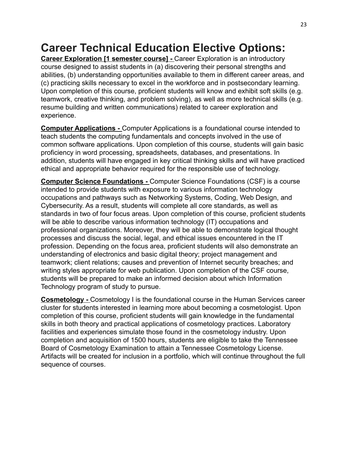## **Career Technical Education Elective Options:**

**Career Exploration [1 semester course] -** Career Exploration is an introductory course designed to assist students in (a) discovering their personal strengths and abilities, (b) understanding opportunities available to them in different career areas, and (c) practicing skills necessary to excel in the workforce and in postsecondary learning. Upon completion of this course, proficient students will know and exhibit soft skills (e.g. teamwork, creative thinking, and problem solving), as well as more technical skills (e.g. resume building and written communications) related to career exploration and experience.

**Computer Applications -** Computer Applications is a foundational course intended to teach students the computing fundamentals and concepts involved in the use of common software applications. Upon completion of this course, students will gain basic proficiency in word processing, spreadsheets, databases, and presentations. In addition, students will have engaged in key critical thinking skills and will have practiced ethical and appropriate behavior required for the responsible use of technology.

**Computer Science Foundations -** Computer Science Foundations (CSF) is a course intended to provide students with exposure to various information technology occupations and pathways such as Networking Systems, Coding, Web Design, and Cybersecurity. As a result, students will complete all core standards, as well as standards in two of four focus areas. Upon completion of this course, proficient students will be able to describe various information technology (IT) occupations and professional organizations. Moreover, they will be able to demonstrate logical thought processes and discuss the social, legal, and ethical issues encountered in the IT profession. Depending on the focus area, proficient students will also demonstrate an understanding of electronics and basic digital theory; project management and teamwork; client relations; causes and prevention of Internet security breaches; and writing styles appropriate for web publication. Upon completion of the CSF course, students will be prepared to make an informed decision about which Information Technology program of study to pursue.

**Cosmetology -** Cosmetology I is the foundational course in the Human Services career cluster for students interested in learning more about becoming a cosmetologist. Upon completion of this course, proficient students will gain knowledge in the fundamental skills in both theory and practical applications of cosmetology practices. Laboratory facilities and experiences simulate those found in the cosmetology industry. Upon completion and acquisition of 1500 hours, students are eligible to take the Tennessee Board of Cosmetology Examination to attain a Tennessee Cosmetology License. Artifacts will be created for inclusion in a portfolio, which will continue throughout the full sequence of courses.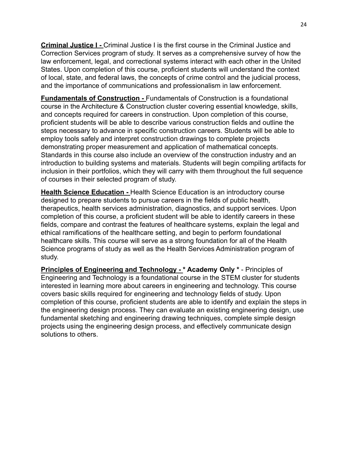**Criminal Justice I -** Criminal Justice I is the first course in the Criminal Justice and Correction Services program of study. It serves as a comprehensive survey of how the law enforcement, legal, and correctional systems interact with each other in the United States. Upon completion of this course, proficient students will understand the context of local, state, and federal laws, the concepts of crime control and the judicial process, and the importance of communications and professionalism in law enforcement.

**Fundamentals of Construction -** Fundamentals of Construction is a foundational course in the Architecture & Construction cluster covering essential knowledge, skills, and concepts required for careers in construction. Upon completion of this course, proficient students will be able to describe various construction fields and outline the steps necessary to advance in specific construction careers. Students will be able to employ tools safely and interpret construction drawings to complete projects demonstrating proper measurement and application of mathematical concepts. Standards in this course also include an overview of the construction industry and an introduction to building systems and materials. Students will begin compiling artifacts for inclusion in their portfolios, which they will carry with them throughout the full sequence of courses in their selected program of study.

**Health Science Education -** Health Science Education is an introductory course designed to prepare students to pursue careers in the fields of public health, therapeutics, health services administration, diagnostics, and support services. Upon completion of this course, a proficient student will be able to identify careers in these fields, compare and contrast the features of healthcare systems, explain the legal and ethical ramifications of the healthcare setting, and begin to perform foundational healthcare skills. This course will serve as a strong foundation for all of the Health Science programs of study as well as the Health Services Administration program of study.

**Principles of Engineering and Technology - \* Academy Only \*** - Principles of Engineering and Technology is a foundational course in the STEM cluster for students interested in learning more about careers in engineering and technology. This course covers basic skills required for engineering and technology fields of study. Upon completion of this course, proficient students are able to identify and explain the steps in the engineering design process. They can evaluate an existing engineering design, use fundamental sketching and engineering drawing techniques, complete simple design projects using the engineering design process, and effectively communicate design solutions to others.